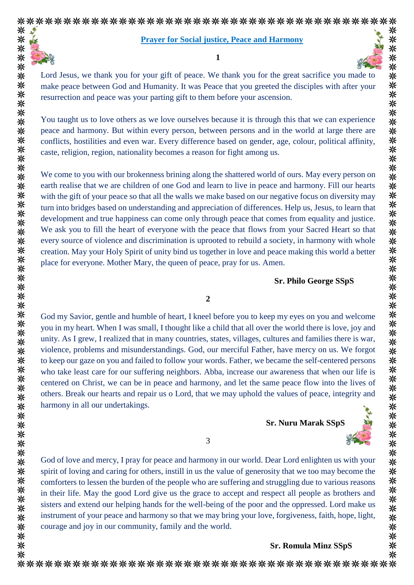

\*\*\*\*\*\*\*\*\*\*\*\*\*\*\*\*\*\*\*\*\*\*\*\*\*\*\*\*\*\*\*

米米米

#### **Prayer for Social justice, Peace and Harmony**

**1**



Lord Jesus, we thank you for your gift of peace. We thank you for the great sacrifice you made to make peace between God and Humanity. It was Peace that you greeted the disciples with after your resurrection and peace was your parting gift to them before your ascension.

You taught us to love others as we love ourselves because it is through this that we can experience peace and harmony. But within every person, between persons and in the world at large there are conflicts, hostilities and even war. Every difference based on gender, age, colour, political affinity, caste, religion, region, nationality becomes a reason for fight among us.

We come to you with our brokenness brining along the shattered world of ours. May every person on earth realise that we are children of one God and learn to live in peace and harmony. Fill our hearts with the gift of your peace so that all the walls we make based on our negative focus on diversity may turn into bridges based on understanding and appreciation of differences. Help us, Jesus, to learn that development and true happiness can come only through peace that comes from equality and justice. We ask you to fill the heart of everyone with the peace that flows from your Sacred Heart so that every source of violence and discrimination is uprooted to rebuild a society, in harmony with whole creation. May your Holy Spirit of unity bind us together in love and peace making this world a better place for everyone. Mother Mary, the queen of peace, pray for us. Amen.

### **Sr. Philo George SSpS**

### **2**

God my Savior, gentle and humble of heart, I kneel before you to keep my eyes on you and welcome you in my heart. When I was small, I thought like a child that all over the world there is love, joy and unity. As I grew, I realized that in many countries, states, villages, cultures and families there is war, violence, problems and misunderstandings. God, our merciful Father, have mercy on us. We forgot to keep our gaze on you and failed to follow your words. Father, we became the self-centered persons who take least care for our suffering neighbors. Abba, increase our awareness that when our life is centered on Christ, we can be in peace and harmony, and let the same peace flow into the lives of others. Break our hearts and repair us o Lord, that we may uphold the values of peace, integrity and harmony in all our undertakings.

**Sr. Nuru Marak SSpS**



God of love and mercy, I pray for peace and harmony in our world. Dear Lord enlighten us with your spirit of loving and caring for others, instill in us the value of generosity that we too may become the comforters to lessen the burden of the people who are suffering and struggling due to various reasons in their life. May the good Lord give us the grace to accept and respect all people as brothers and sisters and extend our helping hands for the well-being of the poor and the oppressed. Lord make us instrument of your peace and harmony so that we may bring your love, forgiveness, faith, hope, light, courage and joy in our community, family and the world.

### **Sr. Romula Minz SSpS**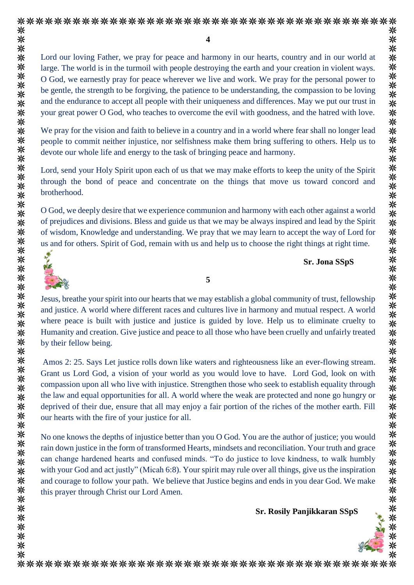⋇

**4**

Lord our loving Father, we pray for peace and harmony in our hearts, country and in our world at 米 \*\*\*\*\*\*\*\* large. The world is in the turmoil with people destroying the earth and your creation in violent ways. O God, we earnestly pray for peace wherever we live and work. We pray for the personal power to be gentle, the strength to be forgiving, the patience to be understanding, the compassion to be loving and the endurance to accept all people with their uniqueness and differences. May we put our trust in your great power O God, who teaches to overcome the evil with goodness, and the hatred with love. 米米:

We pray for the vision and faith to believe in a country and in a world where fear shall no longer lead people to commit neither injustice, nor selfishness make them bring suffering to others. Help us to devote our whole life and energy to the task of bringing peace and harmony.

Lord, send your Holy Spirit upon each of us that we may make efforts to keep the unity of the Spirit through the bond of peace and concentrate on the things that move us toward concord and brotherhood.

O God, we deeply desire that we experience communion and harmony with each other against a world of prejudices and divisions. Bless and guide us that we may be always inspired and lead by the Spirit of wisdom, Knowledge and understanding. We pray that we may learn to accept the way of Lord for us and for others. Spirit of God, remain with us and help us to choose the right things at right time.



米

米

米

米米米

来

米米米米

米米

米 米

米米米米米

\*\* 来

米米 ☀

米米米米

米米米米

米米米

米米米 兴

米米米米

兴

米 米 米 米

米 米 米 米 ☀ 米  **Sr. Jona SSpS**

**5**

Jesus, breathe your spirit into our hearts that we may establish a global community of trust, fellowship and justice. A world where different races and cultures live in harmony and mutual respect. A world where peace is built with justice and justice is guided by love. Help us to eliminate cruelty to Humanity and creation. Give justice and peace to all those who have been cruelly and unfairly treated by their fellow being.

Amos 2: 25. Says Let justice rolls down like waters and righteousness like an ever-flowing stream. Grant us Lord God, a vision of your world as you would love to have. Lord God, look on with compassion upon all who live with injustice. Strengthen those who seek to establish equality through the law and equal opportunities for all. A world where the weak are protected and none go hungry or deprived of their due, ensure that all may enjoy a fair portion of the riches of the mother earth. Fill our hearts with the fire of your justice for all.

No one knows the depths of injustice better than you O God. You are the author of justice; you would rain down justice in the form of transformed Hearts, mindsets and reconciliation. Your truth and grace can change hardened hearts and confused minds. "To do justice to love kindness, to walk humbly with your God and act justly" (Micah 6:8). Your spirit may rule over all things, give us the inspiration and courage to follow your path. We believe that Justice begins and ends in you dear God. We make this prayer through Christ our Lord Amen.

 **Sr. Rosily Panjikkaran SSpS**